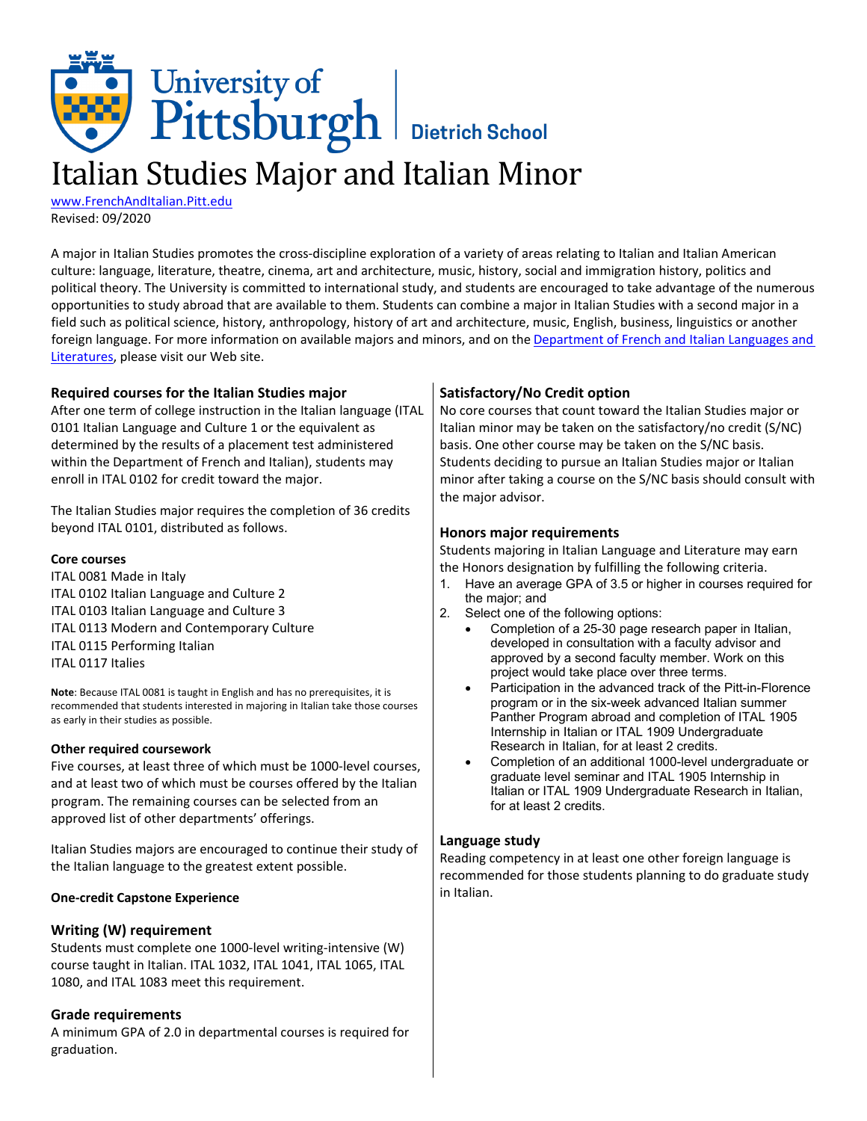# University of<br>Pittsburgh Bietrich School

# Italian Studies Major and Italian Minor

[www.FrenchAndItalian.Pitt.edu](http://www.frenchanditalian.pitt.edu/) Revised: 09/2020

A major in Italian Studies promotes the cross-discipline exploration of a variety of areas relating to Italian and Italian American culture: language, literature, theatre, cinema, art and architecture, music, history, social and immigration history, politics and political theory. The University is committed to international study, and students are encouraged to take advantage of the numerous opportunities to study abroad that are available to them. Students can combine a major in Italian Studies with a second major in a field such as political science, history, anthropology, history of art and architecture, music, English, business, linguistics or another foreign language. For more information on available majors and minors, and on the [Department](http://www.frenchanditalian.pitt.edu/) of French and Italian Languages and [Literatures,](http://www.frenchanditalian.pitt.edu/) please visit our Web site.

| Required courses for the Italian Studies major                                                                                                                                                                                                                                                                                                                                                                                                                                             | Satisfactory/No Credit option                                                                                                                                                                                                                                                                                                                                                                                                                                                                                                                              |
|--------------------------------------------------------------------------------------------------------------------------------------------------------------------------------------------------------------------------------------------------------------------------------------------------------------------------------------------------------------------------------------------------------------------------------------------------------------------------------------------|------------------------------------------------------------------------------------------------------------------------------------------------------------------------------------------------------------------------------------------------------------------------------------------------------------------------------------------------------------------------------------------------------------------------------------------------------------------------------------------------------------------------------------------------------------|
| After one term of college instruction in the Italian language (ITAL                                                                                                                                                                                                                                                                                                                                                                                                                        | No core courses that count toward the Italian Studies major or                                                                                                                                                                                                                                                                                                                                                                                                                                                                                             |
| 0101 Italian Language and Culture 1 or the equivalent as                                                                                                                                                                                                                                                                                                                                                                                                                                   | Italian minor may be taken on the satisfactory/no credit (S/NC)                                                                                                                                                                                                                                                                                                                                                                                                                                                                                            |
| determined by the results of a placement test administered                                                                                                                                                                                                                                                                                                                                                                                                                                 | basis. One other course may be taken on the S/NC basis.                                                                                                                                                                                                                                                                                                                                                                                                                                                                                                    |
| within the Department of French and Italian), students may                                                                                                                                                                                                                                                                                                                                                                                                                                 | Students deciding to pursue an Italian Studies major or Italian                                                                                                                                                                                                                                                                                                                                                                                                                                                                                            |
| enroll in ITAL 0102 for credit toward the major.                                                                                                                                                                                                                                                                                                                                                                                                                                           | minor after taking a course on the S/NC basis should consult with                                                                                                                                                                                                                                                                                                                                                                                                                                                                                          |
| The Italian Studies major requires the completion of 36 credits<br>beyond ITAL 0101, distributed as follows.<br><b>Core courses</b><br>ITAL 0081 Made in Italy<br>ITAL 0102 Italian Language and Culture 2<br>ITAL 0103 Italian Language and Culture 3<br>ITAL 0113 Modern and Contemporary Culture<br>ITAL 0115 Performing Italian                                                                                                                                                        | the major advisor.<br>Honors major requirements<br>Students majoring in Italian Language and Literature may earn<br>the Honors designation by fulfilling the following criteria.<br>Have an average GPA of 3.5 or higher in courses required for<br>1.<br>the major; and<br>2.<br>Select one of the following options:<br>Completion of a 25-30 page research paper in Italian,<br>developed in consultation with a faculty advisor and                                                                                                                    |
| ITAL 0117 Italies                                                                                                                                                                                                                                                                                                                                                                                                                                                                          | approved by a second faculty member. Work on this                                                                                                                                                                                                                                                                                                                                                                                                                                                                                                          |
| Note: Because ITAL 0081 is taught in English and has no prerequisites, it is<br>recommended that students interested in majoring in Italian take those courses<br>as early in their studies as possible.<br>Other required coursework<br>Five courses, at least three of which must be 1000-level courses,<br>and at least two of which must be courses offered by the Italian<br>program. The remaining courses can be selected from an<br>approved list of other departments' offerings. | project would take place over three terms.<br>Participation in the advanced track of the Pitt-in-Florence<br>$\bullet$<br>program or in the six-week advanced Italian summer<br>Panther Program abroad and completion of ITAL 1905<br>Internship in Italian or ITAL 1909 Undergraduate<br>Research in Italian, for at least 2 credits.<br>Completion of an additional 1000-level undergraduate or<br>$\bullet$<br>graduate level seminar and ITAL 1905 Internship in<br>Italian or ITAL 1909 Undergraduate Research in Italian,<br>for at least 2 credits. |
| Italian Studies majors are encouraged to continue their study of<br>the Italian language to the greatest extent possible.                                                                                                                                                                                                                                                                                                                                                                  | Language study<br>Reading competency in at least one other foreign language is<br>recommended for those students planning to do graduate study                                                                                                                                                                                                                                                                                                                                                                                                             |
| <b>One-credit Capstone Experience</b>                                                                                                                                                                                                                                                                                                                                                                                                                                                      | in Italian.                                                                                                                                                                                                                                                                                                                                                                                                                                                                                                                                                |
| Writing (W) requirement<br>Students must complete one 1000-level writing-intensive (W)                                                                                                                                                                                                                                                                                                                                                                                                     |                                                                                                                                                                                                                                                                                                                                                                                                                                                                                                                                                            |
| course taught in Italian. ITAL 1032, ITAL 1041, ITAL 1065, ITAL                                                                                                                                                                                                                                                                                                                                                                                                                            |                                                                                                                                                                                                                                                                                                                                                                                                                                                                                                                                                            |
| 1080, and ITAL 1083 meet this requirement.                                                                                                                                                                                                                                                                                                                                                                                                                                                 |                                                                                                                                                                                                                                                                                                                                                                                                                                                                                                                                                            |
| <b>Grade requirements</b>                                                                                                                                                                                                                                                                                                                                                                                                                                                                  |                                                                                                                                                                                                                                                                                                                                                                                                                                                                                                                                                            |

A minimum GPA of 2.0 in departmental courses is required for graduation.